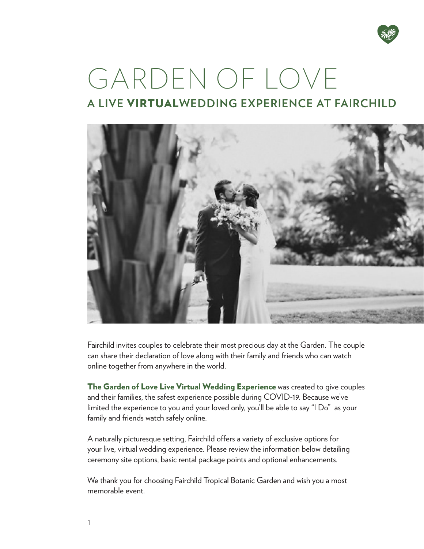

# GARDEN OF LOVE **A LIVE** VIRTUAL**WEDDING EXPERIENCE AT FAIRCHILD**



Fairchild invites couples to celebrate their most precious day at the Garden. The couple can share their declaration of love along with their family and friends who can watch online together from anywhere in the world.

The Garden of Love Live Virtual Wedding Experience was created to give couples and their families, the safest experience possible during COVID-19. Because we've limited the experience to you and your loved only, you'll be able to say "I Do" as your family and friends watch safely online.

A naturally picturesque setting, Fairchild offers a variety of exclusive options for your live, virtual wedding experience. Please review the information below detailing ceremony site options, basic rental package points and optional enhancements.

We thank you for choosing Fairchild Tropical Botanic Garden and wish you a most memorable event.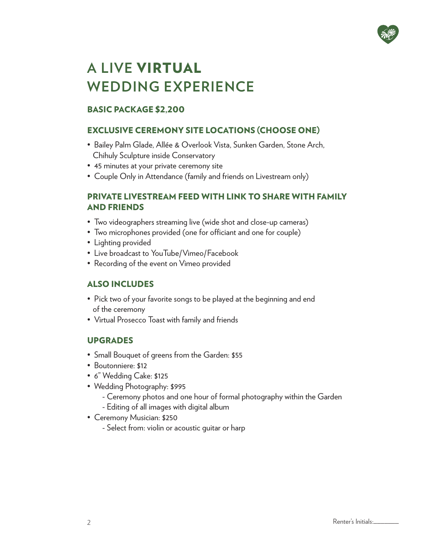

# **A LIVE** VIRTUAL **WEDDING EXPERIENCE**

# BASIC PACKAGE \$2,200

# EXCLUSIVE CEREMONY SITE LOCATIONS (CHOOSE ONE)

- Bailey Palm Glade, Allée & Overlook Vista, Sunken Garden, Stone Arch, Chihuly Sculpture inside Conservatory
- 45 minutes at your private ceremony site
- Couple Only in Attendance (family and friends on Livestream only)

#### PRIVATE LIVESTREAM FEED WITH LINK TO SHARE WITH FAMILY AND FRIENDS

- Two videographers streaming live (wide shot and close-up cameras)
- Two microphones provided (one for officiant and one for couple)
- Lighting provided
- Live broadcast to YouTube/Vimeo/Facebook
- Recording of the event on Vimeo provided

# ALSO INCLUDES

- Pick two of your favorite songs to be played at the beginning and end of the ceremony
- Virtual Prosecco Toast with family and friends

# UPGRADES

- Small Bouquet of greens from the Garden: \$55
- Boutonniere: \$12
- 6" Wedding Cake: \$125
- Wedding Photography: \$995
	- Ceremony photos and one hour of formal photography within the Garden
	- Editing of all images with digital album
- Ceremony Musician: \$250
	- Select from: violin or acoustic guitar or harp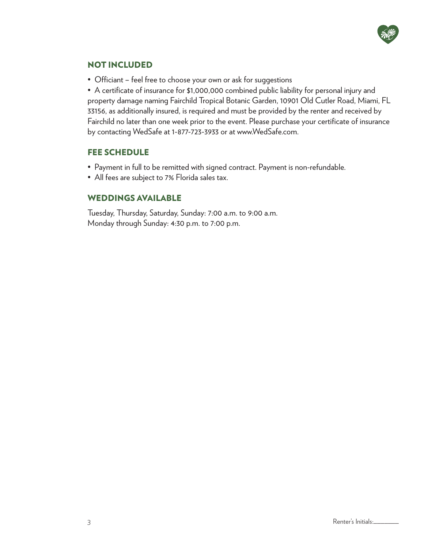

#### NOT INCLUDED

• Officiant – feel free to choose your own or ask for suggestions

• A certificate of insurance for \$1,000,000 combined public liability for personal injury and property damage naming Fairchild Tropical Botanic Garden, 10901 Old Cutler Road, Miami, FL 33156, as additionally insured, is required and must be provided by the renter and received by Fairchild no later than one week prior to the event. Please purchase your certificate of insurance by contacting WedSafe at 1-877-723-3933 or at www.WedSafe.com.

#### FEE SCHEDULE

- Payment in full to be remitted with signed contract. Payment is non-refundable.
- All fees are subject to 7% Florida sales tax.

#### WEDDINGS AVAILABLE

Tuesday, Thursday, Saturday, Sunday: 7:00 a.m. to 9:00 a.m. Monday through Sunday: 4:30 p.m. to 7:00 p.m.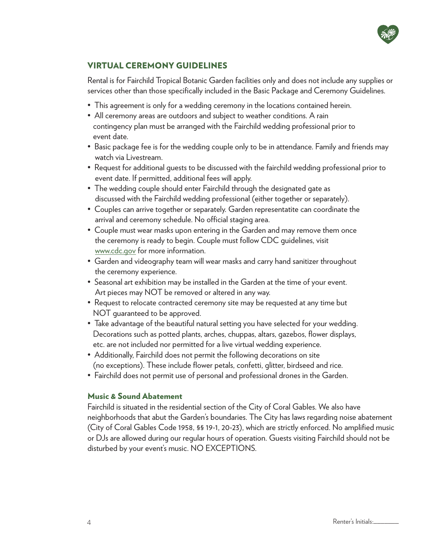

# VIRTUAL CEREMONY GUIDELINES

Rental is for Fairchild Tropical Botanic Garden facilities only and does not include any supplies or services other than those specifically included in the Basic Package and Ceremony Guidelines.

- This agreement is only for a wedding ceremony in the locations contained herein.
- All ceremony areas are outdoors and subject to weather conditions. A rain contingency plan must be arranged with the Fairchild wedding professional prior to event date.
- Basic package fee is for the wedding couple only to be in attendance. Family and friends may watch via Livestream.
- Request for additional guests to be discussed with the fairchild wedding professional prior to event date. If permitted, additional fees will apply.
- The wedding couple should enter Fairchild through the designated gate as discussed with the Fairchild wedding professional (either together or separately).
- Couples can arrive together or separately. Garden representatite can coordinate the arrival and ceremony schedule. No official staging area.
- Couple must wear masks upon entering in the Garden and may remove them once the ceremony is ready to begin. Couple must follow CDC guidelines, visit www.cdc.gov for more information.
- Garden and videography team will wear masks and carry hand sanitizer throughout the ceremony experience.
- Seasonal art exhibition may be installed in the Garden at the time of your event. Art pieces may NOT be removed or altered in any way.
- Request to relocate contracted ceremony site may be requested at any time but NOT guaranteed to be approved.
- Take advantage of the beautiful natural setting you have selected for your wedding. Decorations such as potted plants, arches, chuppas, altars, gazebos, flower displays, etc. are not included nor permitted for a live virtual wedding experience.
- Additionally, Fairchild does not permit the following decorations on site (no exceptions). These include flower petals, confetti, glitter, birdseed and rice.
- Fairchild does not permit use of personal and professional drones in the Garden.

#### Music & Sound Abatement

Fairchild is situated in the residential section of the City of Coral Gables. We also have neighborhoods that abut the Garden's boundaries. The City has laws regarding noise abatement (City of Coral Gables Code 1958, §§ 19-1, 20-23), which are strictly enforced. No amplified music or DJs are allowed during our regular hours of operation. Guests visiting Fairchild should not be disturbed by your event's music. NO EXCEPTIONS.